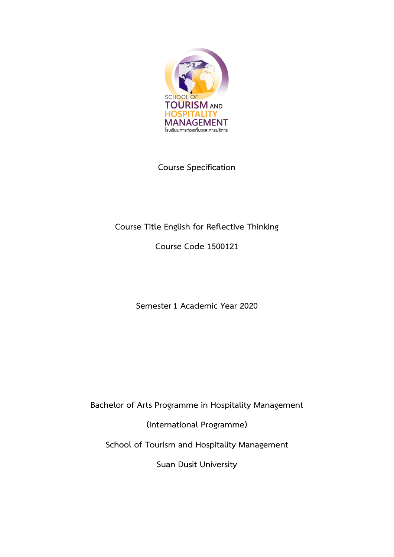

**Course Specification**

# **Course Title English for Reflective Thinking**

**Course Code 1500121**

**Semester1 Academic Year 2020**

**Bachelor of Arts Programme in Hospitality Management**

**(International Programme)**

**School of Tourism and Hospitality Management**

**Suan Dusit University**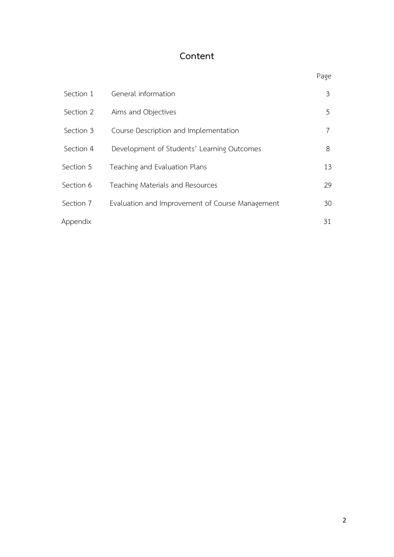# **Content**

|           |                                                 | Page |
|-----------|-------------------------------------------------|------|
| Section 1 | General information                             | 3    |
| Section 2 | Aims and Objectives                             | 5    |
| Section 3 | Course Description and Implementation           | 7    |
| Section 4 | Development of Students' Learning Outcomes      | 8    |
| Section 5 | Teaching and Evaluation Plans                   | 13   |
| Section 6 | Teaching Materials and Resources                | 29   |
| Section 7 | Evaluation and Improvement of Course Management | 30   |
| Appendix  |                                                 | 31   |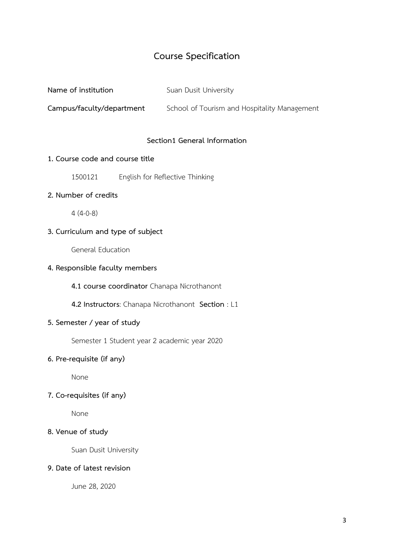# **Course Specification**

**Name of institution** Suan Dusit University

**Campus/faculty/department** School of Tourism and Hospitality Management

#### **Section1 General Information**

#### **1. Course code and course title**

1500121 English for Reflective Thinking

#### **2. Number of credits**

4 (4-0-8)

### **3. Curriculum and type of subject**

General Education

#### **4. Responsible faculty members**

**4.1 course coordinator** Chanapa Nicrothanont

 **4.2 Instructors**: Chanapa Nicrothanont **Section** : L1

### **5. Semester / year of study**

Semester 1 Student year 2 academic year 2020

### **6. Pre-requisite (if any)**

None

### **7. Co-requisites (if any)**

None

### **8. Venue of study**

Suan Dusit University

#### **9. Date of latest revision**

June 28, 2020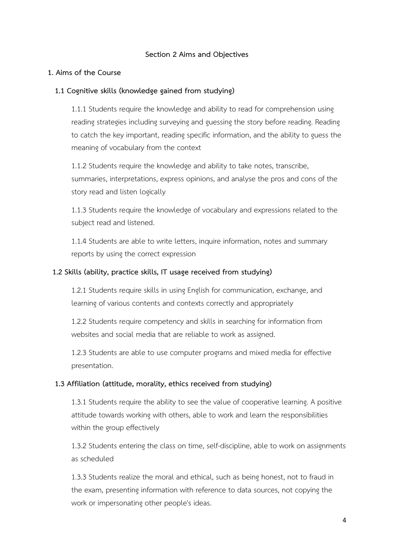#### **Section 2 Aims and Objectives**

#### **1. Aims of the Course**

#### **1.1 Cognitive skills (knowledge gained from studying)**

1.1.1 Students require the knowledge and ability to read for comprehension using reading strategies including surveying and guessing the story before reading. Reading to catch the key important, reading specific information, and the ability to guess the meaning of vocabulary from the context

1.1.2 Students require the knowledge and ability to take notes, transcribe, summaries, interpretations, express opinions, and analyse the pros and cons of the story read and listen logically

1.1.3 Students require the knowledge of vocabulary and expressions related to the subject read and listened.

1.1.4 Students are able to write letters, inquire information, notes and summary reports by using the correct expression

#### **1.2 Skills (ability, practice skills, IT usage received from studying)**

1.2.1 Students require skills in using English for communication, exchange, and learning of various contents and contexts correctly and appropriately

1.2.2 Students require competency and skills in searching for information from websites and social media that are reliable to work as assigned.

1.2.3 Students are able to use computer programs and mixed media for effective presentation.

#### **1.3 Affiliation (attitude, morality, ethics received from studying)**

1.3.1 Students require the ability to see the value of cooperative learning. A positive attitude towards working with others, able to work and learn the responsibilities within the group effectively

1.3.2 Students entering the class on time, self-discipline, able to work on assignments as scheduled

1.3.3 Students realize the moral and ethical, such as being honest, not to fraud in the exam, presenting information with reference to data sources, not copying the work or impersonating other people's ideas.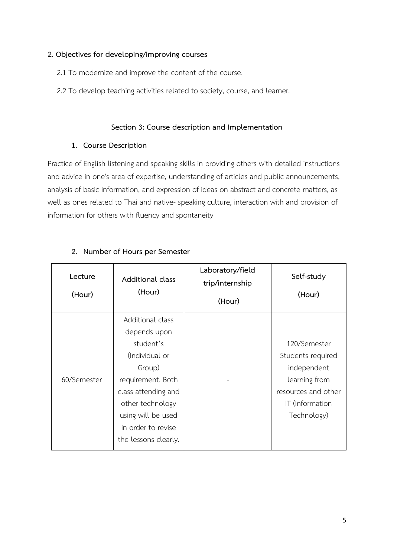### **2. Objectives for developing/improving courses**

- 2.1 To modernize and improve the content of the course.
- 2.2 To develop teaching activities related to society, course, and learner.

# **Section 3: Course description and Implementation**

## **1. Course Description**

Practice of English listening and speaking skills in providing others with detailed instructions and advice in one's area of expertise, understanding of articles and public announcements, analysis of basic information, and expression of ideas on abstract and concrete matters, as well as ones related to Thai and native- speaking culture, interaction with and provision of information for others with fluency and spontaneity

| Lecture<br>(Hour) | Additional class<br>(Hour)                                                                                                       | Laboratory/field<br>trip/internship<br>(Hour) | Self-study<br>(Hour)                                                          |
|-------------------|----------------------------------------------------------------------------------------------------------------------------------|-----------------------------------------------|-------------------------------------------------------------------------------|
|                   | Additional class<br>depends upon                                                                                                 |                                               |                                                                               |
|                   | student's<br>(Individual or<br>Group)                                                                                            |                                               | 120/Semester<br>Students required<br>independent                              |
| 60/Semester       | requirement. Both<br>class attending and<br>other technology<br>using will be used<br>in order to revise<br>the lessons clearly. |                                               | learning from<br>resources and other<br><b>IT</b> (Information<br>Technology) |

## **2. Number of Hours per Semester**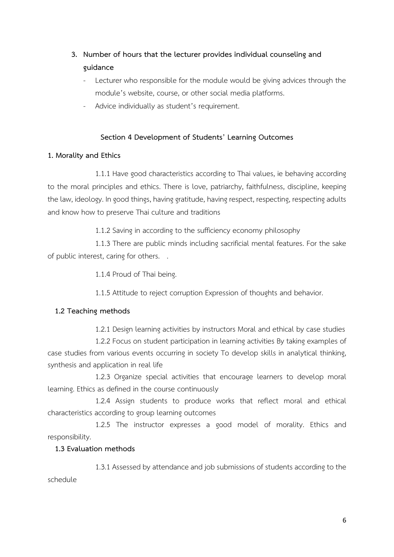# **3. Number of hours that the lecturer provides individual counseling and guidance**

- Lecturer who responsible for the module would be giving advices through the module's website, course, or other social media platforms.
- Advice individually as student's requirement.

# **Section 4 Development of Students' Learning Outcomes**

### **1. Morality and Ethics**

1.1.1 Have good characteristics according to Thai values, ie behaving according to the moral principles and ethics. There is love, patriarchy, faithfulness, discipline, keeping the law, ideology. In good things, having gratitude, having respect, respecting, respecting adults and know how to preserve Thai culture and traditions

1.1.2 Saving in according to the sufficiency economy philosophy

1.1.3 There are public minds including sacrificial mental features. For the sake of public interest, caring for others. .

1.1.4 Proud of Thai being.

1.1.5 Attitude to reject corruption Expression of thoughts and behavior.

### **1.2 Teaching methods**

1.2.1 Design learning activities by instructors Moral and ethical by case studies

1.2.2 Focus on student participation in learning activities By taking examples of case studies from various events occurring in society To develop skills in analytical thinking, synthesis and application in real life

1.2.3 Organize special activities that encourage learners to develop moral learning. Ethics as defined in the course continuously

1.2.4 Assign students to produce works that reflect moral and ethical characteristics according to group learning outcomes

1.2.5 The instructor expresses a good model of morality. Ethics and responsibility.

### **1.3 Evaluation methods**

1.3.1 Assessed by attendance and job submissions of students according to the schedule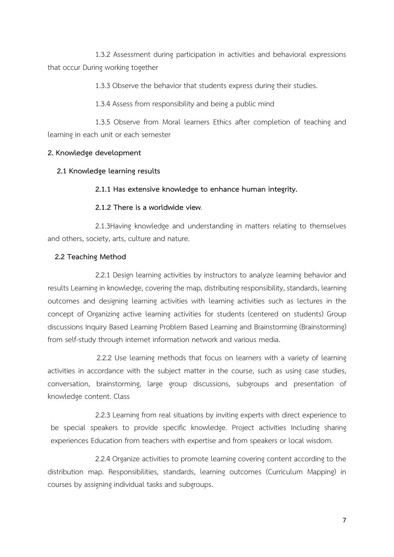1.3.2 Assessment during participation in activities and behavioral expressions that occur During working together

1.3.3 Observe the behavior that students express during their studies.

1.3.4 Assess from responsibility and being a public mind

1.3.5 Observe from Moral learners Ethics after completion of teaching and learning in each unit or each semester

### **2. Knowledge development**

**2.1 Knowledge learning results**

#### **2.1.1 Has extensive knowledge to enhance human integrity.**

#### **2.1.2 There is a worldwide view**.

2.1.3Having knowledge and understanding in matters relating to themselves and others, society, arts, culture and nature.

#### **2.2 Teaching Method**

2.2.1 Design learning activities by instructors to analyze learning behavior and results Learning in knowledge, covering the map, distributing responsibility, standards, learning outcomes and designing learning activities with learning activities such as lectures in the concept of Organizing active learning activities for students (centered on students) Group discussions Inquiry Based Learning Problem Based Learning and Brainstorming (Brainstorming) from self-study through internet information network and various media.

 2.2.2 Use learning methods that focus on learners with a variety of learning activities in accordance with the subject matter in the course, such as using case studies, conversation, brainstorming, large group discussions, subgroups and presentation of knowledge content. Class

 2.2.3 Learning from real situations by inviting experts with direct experience to be special speakers to provide specific knowledge. Project activities Including sharing experiences Education from teachers with expertise and from speakers or local wisdom.

2.2.4 Organize activities to promote learning covering content according to the distribution map. Responsibilities, standards, learning outcomes (Curriculum Mapping) in courses by assigning individual tasks and subgroups.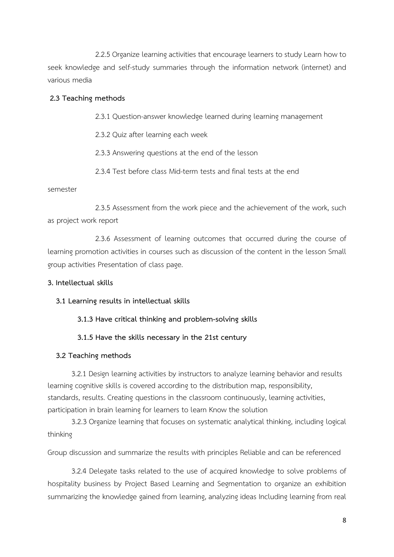2.2.5 Organize learning activities that encourage learners to study Learn how to seek knowledge and self-study summaries through the information network (internet) and various media

#### **2.3 Teaching methods**

2.3.1 Question-answer knowledge learned during learning management

2.3.2 Quiz after learning each week

2.3.3 Answering questions at the end of the lesson

2.3.4 Test before class Mid-term tests and final tests at the end

#### semester

2.3.5 Assessment from the work piece and the achievement of the work, such as project work report

2.3.6 Assessment of learning outcomes that occurred during the course of learning promotion activities in courses such as discussion of the content in the lesson Small group activities Presentation of class page.

#### **3. Intellectual skills**

### **3.1 Learning results in intellectual skills**

**3.1.3 Have critical thinking and problem-solving skills**

### **3.1.5 Have the skills necessary in the 21st century**

### **3.2 Teaching methods**

3.2.1 Design learning activities by instructors to analyze learning behavior and results learning cognitive skills is covered according to the distribution map, responsibility, standards, results. Creating questions in the classroom continuously, learning activities, participation in brain learning for learners to learn Know the solution

3.2.3 Organize learning that focuses on systematic analytical thinking, including logical thinking

Group discussion and summarize the results with principles Reliable and can be referenced

3.2.4 Delegate tasks related to the use of acquired knowledge to solve problems of hospitality business by Project Based Learning and Segmentation to organize an exhibition summarizing the knowledge gained from learning, analyzing ideas Including learning from real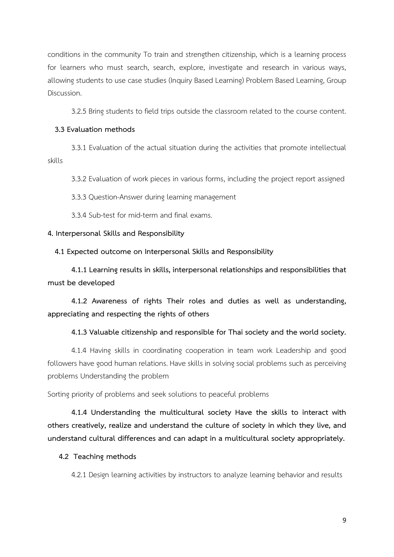conditions in the community To train and strengthen citizenship, which is a learning process for learners who must search, search, explore, investigate and research in various ways, allowing students to use case studies (Inquiry Based Learning) Problem Based Learning, Group Discussion.

3.2.5 Bring students to field trips outside the classroom related to the course content.

#### **3.3 Evaluation methods**

3.3.1 Evaluation of the actual situation during the activities that promote intellectual skills

3.3.2 Evaluation of work pieces in various forms, including the project report assigned

3.3.3 Question-Answer during learning management

3.3.4 Sub-test for mid-term and final exams.

#### **4. Interpersonal Skills and Responsibility**

 **4.1 Expected outcome on Interpersonal Skills and Responsibility**

**4.1.1 Learning results in skills, interpersonal relationships and responsibilities that must be developed**

**4.1.2 Awareness of rights Their roles and duties as well as understanding, appreciating and respecting the rights of others**

#### **4.1.3 Valuable citizenship and responsible for Thai society and the world society.**

4.1.4 Having skills in coordinating cooperation in team work Leadership and good followers have good human relations. Have skills in solving social problems such as perceiving problems Understanding the problem

Sorting priority of problems and seek solutions to peaceful problems

**4.1.4 Understanding the multicultural society Have the skills to interact with others creatively, realize and understand the culture of society in which they live, and understand cultural differences and can adapt in a multicultural society appropriately.**

#### **4.2 Teaching methods**

4.2.1 Design learning activities by instructors to analyze learning behavior and results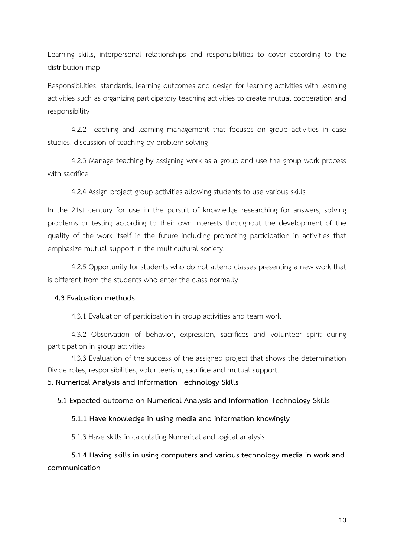Learning skills, interpersonal relationships and responsibilities to cover according to the distribution map

Responsibilities, standards, learning outcomes and design for learning activities with learning activities such as organizing participatory teaching activities to create mutual cooperation and responsibility

4.2.2 Teaching and learning management that focuses on group activities in case studies, discussion of teaching by problem solving

4.2.3 Manage teaching by assigning work as a group and use the group work process with sacrifice

4.2.4 Assign project group activities allowing students to use various skills

In the 21st century for use in the pursuit of knowledge researching for answers, solving problems or testing according to their own interests throughout the development of the quality of the work itself in the future including promoting participation in activities that emphasize mutual support in the multicultural society.

4.2.5 Opportunity for students who do not attend classes presenting a new work that is different from the students who enter the class normally

#### **4.3 Evaluation methods**

4.3.1 Evaluation of participation in group activities and team work

4.3.2 Observation of behavior, expression, sacrifices and volunteer spirit during participation in group activities

4.3.3 Evaluation of the success of the assigned project that shows the determination Divide roles, responsibilities, volunteerism, sacrifice and mutual support.

**5. Numerical Analysis and Information Technology Skills**

 **5.1 Expected outcome on Numerical Analysis and Information Technology Skills**

#### **5.1.1 Have knowledge in using media and information knowingly**

5.1.3 Have skills in calculating Numerical and logical analysis

**5.1.4 Having skills in using computers and various technology media in work and communication**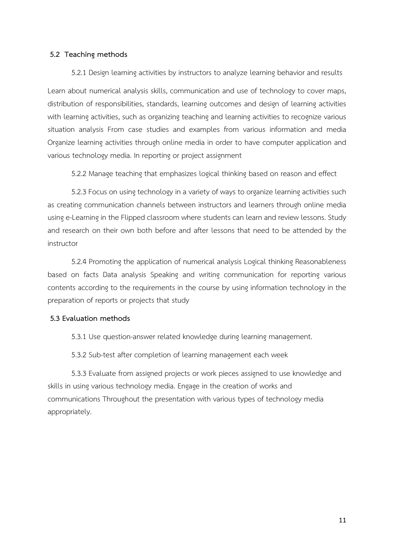#### **5.2 Teaching methods**

5.2.1 Design learning activities by instructors to analyze learning behavior and results Learn about numerical analysis skills, communication and use of technology to cover maps, distribution of responsibilities, standards, learning outcomes and design of learning activities with learning activities, such as organizing teaching and learning activities to recognize various situation analysis From case studies and examples from various information and media Organize learning activities through online media in order to have computer application and various technology media. In reporting or project assignment

5.2.2 Manage teaching that emphasizes logical thinking based on reason and effect

5.2.3 Focus on using technology in a variety of ways to organize learning activities such as creating communication channels between instructors and learners through online media using e-Learning in the Flipped classroom where students can learn and review lessons. Study and research on their own both before and after lessons that need to be attended by the instructor

5.2.4 Promoting the application of numerical analysis Logical thinking Reasonableness based on facts Data analysis Speaking and writing communication for reporting various contents according to the requirements in the course by using information technology in the preparation of reports or projects that study

### **5.3 Evaluation methods**

5.3.1 Use question-answer related knowledge during learning management.

5.3.2 Sub-test after completion of learning management each week

5.3.3 Evaluate from assigned projects or work pieces assigned to use knowledge and skills in using various technology media. Engage in the creation of works and communications Throughout the presentation with various types of technology media appropriately.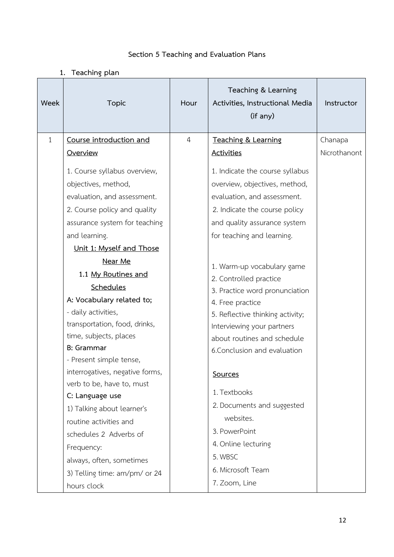| Section 5 Teaching and Evaluation Plans |
|-----------------------------------------|
|                                         |

# **1. Teaching plan**

| Week         | <b>Topic</b>                                                 | Hour | Teaching & Learning<br>Activities, Instructional Media<br>(if any) | Instructor   |
|--------------|--------------------------------------------------------------|------|--------------------------------------------------------------------|--------------|
| $\mathbf{1}$ | Course introduction and                                      | 4    | Teaching & Learning                                                | Chanapa      |
|              | Overview                                                     |      | <b>Activities</b>                                                  | Nicrothanont |
|              | 1. Course syllabus overview,                                 |      | 1. Indicate the course syllabus                                    |              |
|              | objectives, method,                                          |      | overview, objectives, method,                                      |              |
|              | evaluation, and assessment.                                  |      | evaluation, and assessment.                                        |              |
|              | 2. Course policy and quality                                 |      | 2. Indicate the course policy                                      |              |
|              | assurance system for teaching                                |      | and quality assurance system                                       |              |
|              | and learning.                                                |      | for teaching and learning.                                         |              |
|              | Unit 1: Myself and Those                                     |      |                                                                    |              |
|              | Near Me                                                      |      | 1. Warm-up vocabulary game                                         |              |
|              | 1.1 My Routines and                                          |      | 2. Controlled practice                                             |              |
|              | Schedules                                                    |      | 3. Practice word pronunciation                                     |              |
|              | A: Vocabulary related to;                                    |      | 4. Free practice                                                   |              |
|              | - daily activities,                                          |      | 5. Reflective thinking activity;                                   |              |
|              | transportation, food, drinks,                                |      | Interviewing your partners                                         |              |
|              | time, subjects, places                                       |      | about routines and schedule                                        |              |
|              | <b>B</b> : Grammar                                           |      | 6. Conclusion and evaluation                                       |              |
|              | - Present simple tense,                                      |      |                                                                    |              |
|              | interrogatives, negative forms,<br>verb to be, have to, must |      | Sources                                                            |              |
|              | C: Language use                                              |      | 1. Textbooks                                                       |              |
|              | 1) Talking about learner's                                   |      | 2. Documents and suggested                                         |              |
|              | routine activities and                                       |      | websites.                                                          |              |
|              | schedules 2 Adverbs of                                       |      | 3. PowerPoint                                                      |              |
|              | Frequency:                                                   |      | 4. Online lecturing                                                |              |
|              | always, often, sometimes                                     |      | 5. WBSC                                                            |              |
|              | 3) Telling time: am/pm/ or 24                                |      | 6. Microsoft Team                                                  |              |
|              | hours clock                                                  |      | 7. Zoom, Line                                                      |              |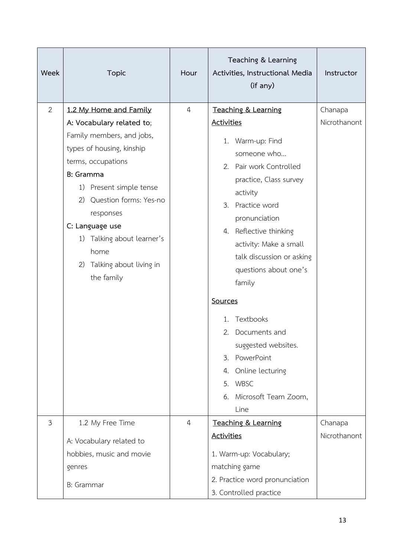| Week | <b>Topic</b>                                                                                                                                                                                                                                                                                                                        | Hour           | Teaching & Learning<br>Activities, Instructional Media<br>(if any)                                                                                                                                                                                                                                       | Instructor              |
|------|-------------------------------------------------------------------------------------------------------------------------------------------------------------------------------------------------------------------------------------------------------------------------------------------------------------------------------------|----------------|----------------------------------------------------------------------------------------------------------------------------------------------------------------------------------------------------------------------------------------------------------------------------------------------------------|-------------------------|
| 2    | 1.2 My Home and Family<br>A: Vocabulary related to;<br>Family members, and jobs,<br>types of housing, kinship<br>terms, occupations<br>B: Gramma<br>1) Present simple tense<br>Question forms: Yes-no<br>2)<br>responses<br>C: Language use<br>Talking about learner's<br>1)<br>home<br>Talking about living in<br>2)<br>the family | $\overline{4}$ | Teaching & Learning<br><b>Activities</b><br>1. Warm-up: Find<br>someone who<br>2. Pair work Controlled<br>practice, Class survey<br>activity<br>Practice word<br>3.<br>pronunciation<br>4. Reflective thinking<br>activity: Make a small<br>talk discussion or asking<br>questions about one's<br>family | Chanapa<br>Nicrothanont |
|      |                                                                                                                                                                                                                                                                                                                                     |                | Sources<br>Textbooks<br>1.<br>Documents and<br>2.<br>suggested websites.<br>PowerPoint<br>3.<br>4. Online lecturing<br>5. WBSC<br>Microsoft Team Zoom,<br>6.<br>Line                                                                                                                                     |                         |
| 3    | 1.2 My Free Time<br>A: Vocabulary related to<br>hobbies, music and movie<br>genres<br>B: Grammar                                                                                                                                                                                                                                    | $\overline{4}$ | Teaching & Learning<br><b>Activities</b><br>1. Warm-up: Vocabulary;<br>matching game<br>2. Practice word pronunciation<br>3. Controlled practice                                                                                                                                                         | Chanapa<br>Nicrothanont |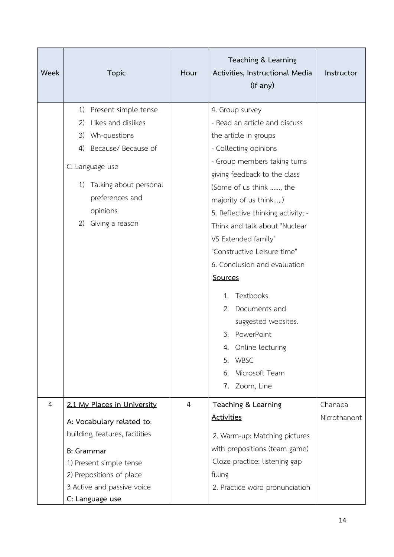| Week           | <b>Topic</b>                                                                                                                                                                                                         | Hour           | Teaching & Learning<br>Activities, Instructional Media<br>(if any)                                                                                                                                                                                                                                                                                                                                                                                                                                                                                         | Instructor              |
|----------------|----------------------------------------------------------------------------------------------------------------------------------------------------------------------------------------------------------------------|----------------|------------------------------------------------------------------------------------------------------------------------------------------------------------------------------------------------------------------------------------------------------------------------------------------------------------------------------------------------------------------------------------------------------------------------------------------------------------------------------------------------------------------------------------------------------------|-------------------------|
|                | Present simple tense<br>1)<br>Likes and dislikes<br>2)<br>3)<br>Wh-questions<br>Because/ Because of<br>4)<br>C: Language use<br>Talking about personal<br>1)<br>preferences and<br>opinions<br>Giving a reason<br>2) |                | 4. Group survey<br>- Read an article and discuss<br>the article in groups<br>- Collecting opinions<br>- Group members taking turns<br>giving feedback to the class<br>(Some of us think , the<br>majority of us think,.)<br>5. Reflective thinking activity; -<br>Think and talk about "Nuclear<br>VS Extended family"<br>"Constructive Leisure time"<br>6. Conclusion and evaluation<br>Sources<br>1. Textbooks<br>2. Documents and<br>suggested websites.<br>PowerPoint<br>3.<br>4. Online lecturing<br>5. WBSC<br>Microsoft Team<br>6.<br>7. Zoom, Line |                         |
| $\overline{4}$ | 2.1 My Places in University<br>A: Vocabulary related to;<br>building, features, facilities<br><b>B:</b> Grammar<br>1) Present simple tense<br>2) Prepositions of place<br>3 Active and passive voice                 | $\overline{4}$ | Teaching & Learning<br><b>Activities</b><br>2. Warm-up: Matching pictures<br>with prepositions (team game)<br>Cloze practice: listening gap<br>filling<br>2. Practice word pronunciation                                                                                                                                                                                                                                                                                                                                                                   | Chanapa<br>Nicrothanont |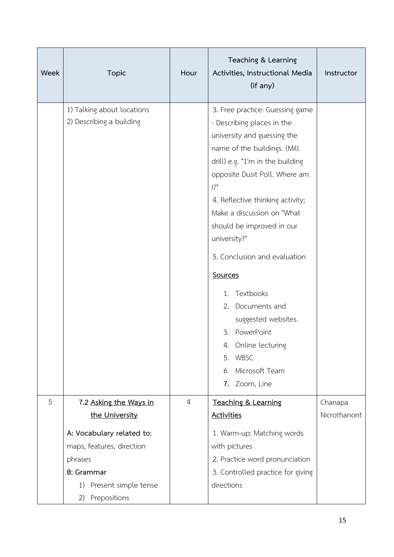| Week | <b>Topic</b>                                                                                                                        | Hour           | Teaching & Learning<br>Activities, Instructional Media<br>(if any)                                                                                                                                                                                                                                                                                                                                                                                                                                                           | Instructor              |
|------|-------------------------------------------------------------------------------------------------------------------------------------|----------------|------------------------------------------------------------------------------------------------------------------------------------------------------------------------------------------------------------------------------------------------------------------------------------------------------------------------------------------------------------------------------------------------------------------------------------------------------------------------------------------------------------------------------|-------------------------|
|      | 1) Talking about locations<br>2) Describing a building                                                                              |                | 3. Free practice: Guessing game<br>- Describing places in the<br>university and guessing the<br>name of the buildings. (Mill<br>drill) e.g. "1'm in the building<br>opposite Dusit Poll. Where am<br>$ ?$ "<br>4. Reflective thinking activity;<br>Make a discussion on "What<br>should be improved in our<br>university?"<br>5. Conclusion and evaluation<br>Sources<br>1. Textbooks<br>2. Documents and<br>suggested websites.<br>3. PowerPoint<br>4. Online lecturing<br>5. WBSC<br>Microsoft Team<br>6.<br>7. Zoom, Line |                         |
| 5    | 7.2 Asking the Ways in<br>the University<br>A: Vocabulary related to;<br>maps, features, direction<br>phrases<br><b>B</b> : Grammar | $\overline{4}$ | Teaching & Learning<br><b>Activities</b><br>1. Warm-up: Matching words<br>with pictures<br>2. Practice word pronunciation<br>3. Controlled practice for giving                                                                                                                                                                                                                                                                                                                                                               | Chanapa<br>Nicrothanont |
|      | Present simple tense<br>1)<br>Prepositions<br>2)                                                                                    |                | directions                                                                                                                                                                                                                                                                                                                                                                                                                                                                                                                   |                         |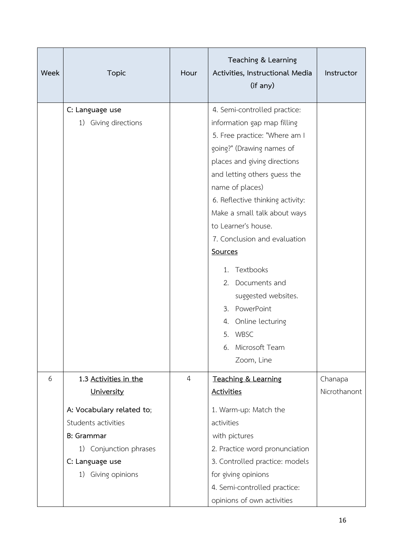| Week | <b>Topic</b>                                                                                                                                                                    | Hour           | Teaching & Learning<br>Activities, Instructional Media<br>(if any)                                                                                                                                                                                                                                                                                                                                                                                                                                         | Instructor              |
|------|---------------------------------------------------------------------------------------------------------------------------------------------------------------------------------|----------------|------------------------------------------------------------------------------------------------------------------------------------------------------------------------------------------------------------------------------------------------------------------------------------------------------------------------------------------------------------------------------------------------------------------------------------------------------------------------------------------------------------|-------------------------|
|      | C: Language use<br>1) Giving directions                                                                                                                                         |                | 4. Semi-controlled practice:<br>information gap map filling<br>5. Free practice: "Where am I<br>going?" (Drawing names of<br>places and giving directions<br>and letting others guess the<br>name of places)<br>6. Reflective thinking activity:<br>Make a small talk about ways<br>to Learner's house.<br>7. Conclusion and evaluation<br><b>Sources</b><br>1. Textbooks<br>2. Documents and<br>suggested websites.<br>3. PowerPoint<br>4. Online lecturing<br>5. WBSC<br>6. Microsoft Team<br>Zoom, Line |                         |
| 6    | 1.3 Activities in the<br>University<br>A: Vocabulary related to;<br>Students activities<br><b>B:</b> Grammar<br>1) Conjunction phrases<br>C: Language use<br>1) Giving opinions | $\overline{4}$ | Teaching & Learning<br><b>Activities</b><br>1. Warm-up: Match the<br>activities<br>with pictures<br>2. Practice word pronunciation<br>3. Controlled practice: models<br>for giving opinions<br>4. Semi-controlled practice:<br>opinions of own activities                                                                                                                                                                                                                                                  | Chanapa<br>Nicrothanont |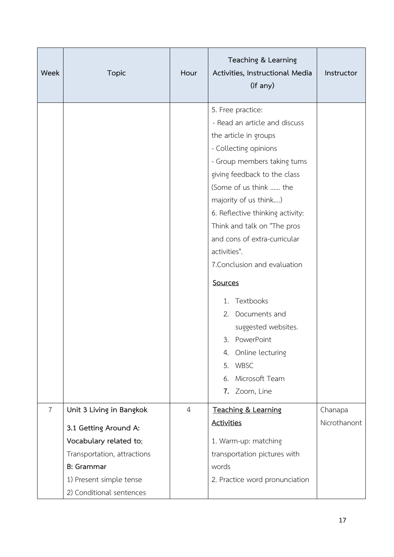| Week           | <b>Topic</b>                                                                                                                                                                           | Hour           | Teaching & Learning<br>Activities, Instructional Media<br>(if any)                                                                                                                                                                                                                                                                                                                                                                                                                                                                                | Instructor              |
|----------------|----------------------------------------------------------------------------------------------------------------------------------------------------------------------------------------|----------------|---------------------------------------------------------------------------------------------------------------------------------------------------------------------------------------------------------------------------------------------------------------------------------------------------------------------------------------------------------------------------------------------------------------------------------------------------------------------------------------------------------------------------------------------------|-------------------------|
|                |                                                                                                                                                                                        |                | 5. Free practice:<br>- Read an article and discuss<br>the article in groups<br>- Collecting opinions<br>- Group members taking tums<br>giving feedback to the class<br>(Some of us think  the<br>majority of us think)<br>6. Reflective thinking activity:<br>Think and talk on "The pros<br>and cons of extra-curricular<br>activities".<br>7. Conclusion and evaluation<br>Sources<br>Textbooks<br>1.<br>2. Documents and<br>suggested websites.<br>3.<br>PowerPoint<br>Online lecturing<br>4.<br>5. WBSC<br>6. Microsoft Team<br>7. Zoom, Line |                         |
| $\overline{7}$ | Unit 3 Living in Bangkok<br>3.1 Getting Around A:<br>Vocabulary related to;<br>Transportation, attractions<br><b>B: Grammar</b><br>1) Present simple tense<br>2) Conditional sentences | $\overline{4}$ | Teaching & Learning<br><b>Activities</b><br>1. Warm-up: matching<br>transportation pictures with<br>words<br>2. Practice word pronunciation                                                                                                                                                                                                                                                                                                                                                                                                       | Chanapa<br>Nicrothanont |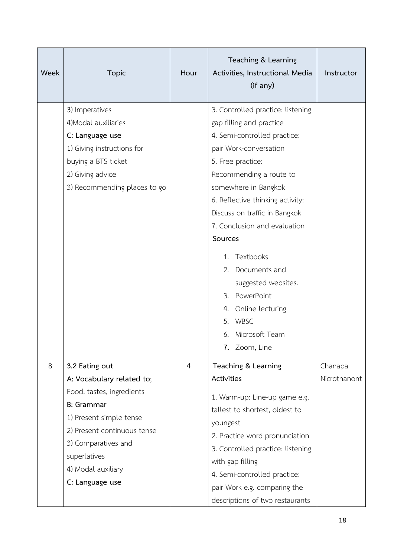| Week | <b>Topic</b>                                                                                                                                                                                                                            | Hour           | Teaching & Learning<br>Activities, Instructional Media<br>(if any)                                                                                                                                                                                                                                                                                                                                                                                                     | Instructor              |
|------|-----------------------------------------------------------------------------------------------------------------------------------------------------------------------------------------------------------------------------------------|----------------|------------------------------------------------------------------------------------------------------------------------------------------------------------------------------------------------------------------------------------------------------------------------------------------------------------------------------------------------------------------------------------------------------------------------------------------------------------------------|-------------------------|
|      | 3) Imperatives<br>4) Modal auxiliaries<br>C: Language use<br>1) Giving instructions for<br>buying a BTS ticket<br>2) Giving advice<br>3) Recommending places to go                                                                      |                | 3. Controlled practice: listening<br>gap filling and practice<br>4. Semi-controlled practice:<br>pair Work-conversation<br>5. Free practice:<br>Recommending a route to<br>somewhere in Bangkok<br>6. Reflective thinking activity:<br>Discuss on traffic in Bangkok<br>7. Conclusion and evaluation<br>Sources<br>1. Textbooks<br>2. Documents and<br>suggested websites.<br>3. PowerPoint<br>4. Online lecturing<br>5. WBSC<br>Microsoft Team<br>6.<br>7. Zoom, Line |                         |
| 8    | 3.2 Eating out<br>A: Vocabulary related to;<br>Food, tastes, ingredients<br><b>B:</b> Grammar<br>1) Present simple tense<br>2) Present continuous tense<br>3) Comparatives and<br>superlatives<br>4) Modal auxiliary<br>C: Language use | $\overline{4}$ | Teaching & Learning<br><b>Activities</b><br>1. Warm-up: Line-up game e.g.<br>tallest to shortest, oldest to<br>youngest<br>2. Practice word pronunciation<br>3. Controlled practice: listening<br>with gap filling<br>4. Semi-controlled practice:<br>pair Work e.g. comparing the<br>descriptions of two restaurants                                                                                                                                                  | Chanapa<br>Nicrothanont |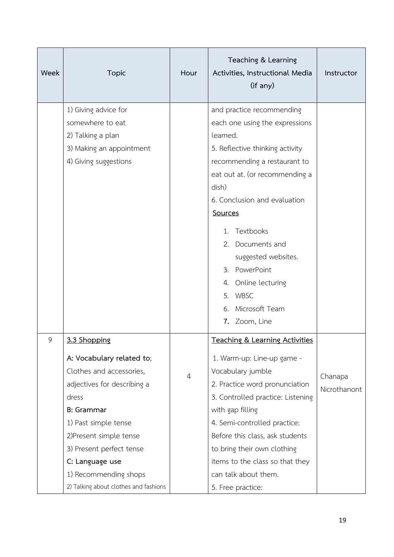| Week | <b>Topic</b>                                                                                                                                                                                                                                                                                           | Hour | Teaching & Learning<br>Activities, Instructional Media<br>(if any)                                                                                                                                                                                                                                                                                                                            | Instructor              |
|------|--------------------------------------------------------------------------------------------------------------------------------------------------------------------------------------------------------------------------------------------------------------------------------------------------------|------|-----------------------------------------------------------------------------------------------------------------------------------------------------------------------------------------------------------------------------------------------------------------------------------------------------------------------------------------------------------------------------------------------|-------------------------|
|      | 1) Giving advice for<br>somewhere to eat<br>2) Talking a plan<br>3) Making an appointment<br>4) Giving suggestions                                                                                                                                                                                     |      | and practice recommending<br>each one using the expressions<br>learned.<br>5. Reflective thinking activity<br>recommending a restaurant to<br>eat out at. (or recommending a<br>dish)<br>6. Conclusion and evaluation<br>Sources<br>Textbooks<br>1.<br>Documents and<br>2.<br>suggested websites.<br>3. PowerPoint<br>4. Online lecturing<br>5. WBSC<br>Microsoft Team<br>6.<br>7. Zoom, Line |                         |
| 9    | 3.3 Shopping<br>A: Vocabulary related to;<br>Clothes and accessories,<br>adjectives for describing a<br>dress<br><b>B</b> : Grammar<br>1) Past simple tense<br>2)Present simple tense<br>3) Present perfect tense<br>C: Language use<br>1) Recommending shops<br>2) Talking about clothes and fashions | 4    | <b>Teaching &amp; Learning Activities</b><br>1. Warm-up: Line-up game -<br>Vocabulary jumble<br>2. Practice word pronunciation<br>3. Controlled practice: Listening<br>with gap filling<br>4. Semi-controlled practice:<br>Before this class, ask students<br>to bring their own clothing<br>items to the class so that they<br>can talk about them.<br>5. Free practice:                     | Chanapa<br>Nicrothanont |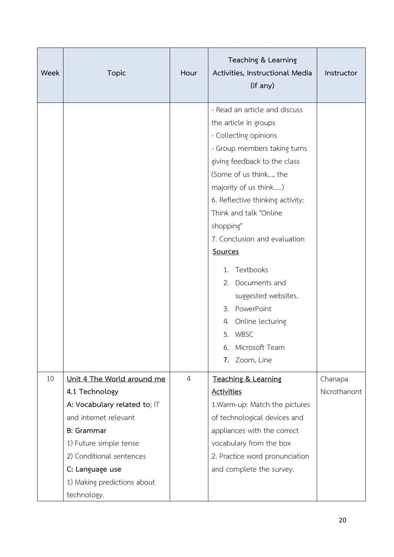| Week | <b>Topic</b>                                                                                                                                                                                                                                      | Hour | Teaching & Learning<br>Activities, Instructional Media<br>(if any)                                                                                                                                                                                                                                                                                                                                                                                                                        | Instructor              |
|------|---------------------------------------------------------------------------------------------------------------------------------------------------------------------------------------------------------------------------------------------------|------|-------------------------------------------------------------------------------------------------------------------------------------------------------------------------------------------------------------------------------------------------------------------------------------------------------------------------------------------------------------------------------------------------------------------------------------------------------------------------------------------|-------------------------|
|      |                                                                                                                                                                                                                                                   |      | - Read an article and discuss<br>the article in groups<br>- Collecting opinions<br>- Group members taking turns<br>giving feedback to the class<br>(Some of us think, the<br>majority of us think)<br>6. Reflective thinking activity:<br>Think and talk "Online<br>shopping"<br>7. Conclusion and evaluation<br>Sources<br>1. Textbooks<br>2. Documents and<br>suggested websites.<br>3. PowerPoint<br>4. Online lecturing<br><b>WBSC</b><br>5.<br>Microsoft Team<br>6.<br>7. Zoom, Line |                         |
| 10   | Unit 4 The World around me<br>4.1 Technology<br>A: Vocabulary related to; IT<br>and internet relevant<br><b>B:</b> Grammar<br>1) Future simple tense<br>2) Conditional sentences<br>C: Language use<br>1) Making predictions about<br>technology. | 4    | Teaching & Learning<br><b>Activities</b><br>1. Warm-up: Match the pictures<br>of technological devices and<br>appliances with the correct<br>vocabulary from the box<br>2. Practice word pronunciation<br>and complete the survey.                                                                                                                                                                                                                                                        | Chanapa<br>Nicrothanont |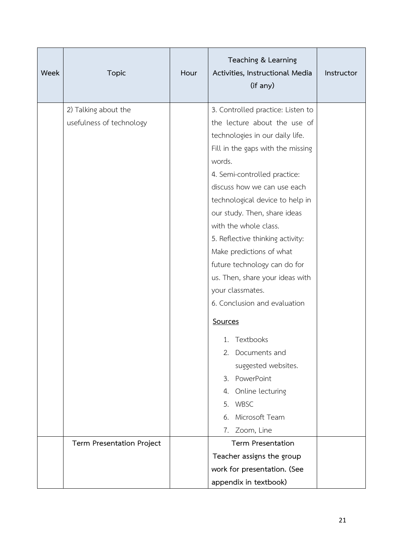| Week | <b>Topic</b>              | Hour | Teaching & Learning<br>Activities, Instructional Media<br>(if any) | Instructor |
|------|---------------------------|------|--------------------------------------------------------------------|------------|
|      | 2) Talking about the      |      | 3. Controlled practice: Listen to                                  |            |
|      | usefulness of technology  |      | the lecture about the use of                                       |            |
|      |                           |      | technologies in our daily life.                                    |            |
|      |                           |      | Fill in the gaps with the missing                                  |            |
|      |                           |      | words.                                                             |            |
|      |                           |      | 4. Semi-controlled practice:                                       |            |
|      |                           |      | discuss how we can use each                                        |            |
|      |                           |      | technological device to help in                                    |            |
|      |                           |      | our study. Then, share ideas                                       |            |
|      |                           |      | with the whole class.                                              |            |
|      |                           |      | 5. Reflective thinking activity:<br>Make predictions of what       |            |
|      |                           |      | future technology can do for                                       |            |
|      |                           |      | us. Then, share your ideas with                                    |            |
|      |                           |      | your classmates.                                                   |            |
|      |                           |      | 6. Conclusion and evaluation                                       |            |
|      |                           |      | Sources                                                            |            |
|      |                           |      | 1. Textbooks                                                       |            |
|      |                           |      | Documents and<br>2.                                                |            |
|      |                           |      | suggested websites.                                                |            |
|      |                           |      | 3. PowerPoint                                                      |            |
|      |                           |      | Online lecturing<br>4.                                             |            |
|      |                           |      | <b>WBSC</b><br>5.                                                  |            |
|      |                           |      | Microsoft Team<br>6.                                               |            |
|      |                           |      | Zoom, Line<br>7.                                                   |            |
|      | Term Presentation Project |      | <b>Term Presentation</b>                                           |            |
|      |                           |      | Teacher assigns the group                                          |            |
|      |                           |      | work for presentation. (See                                        |            |
|      |                           |      | appendix in textbook)                                              |            |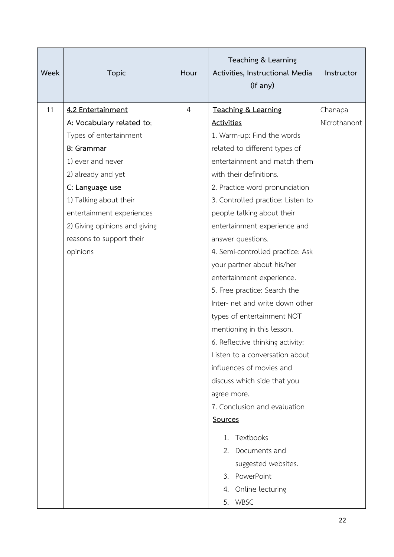| Week | <b>Topic</b>                  | Hour           | Teaching & Learning<br>Activities, Instructional Media<br>(if any) | Instructor   |
|------|-------------------------------|----------------|--------------------------------------------------------------------|--------------|
| 11   | 4.2 Entertainment             | $\overline{4}$ | Teaching & Learning                                                | Chanapa      |
|      | A: Vocabulary related to;     |                | <b>Activities</b>                                                  | Nicrothanont |
|      | Types of entertainment        |                | 1. Warm-up: Find the words                                         |              |
|      | <b>B</b> : Grammar            |                | related to different types of                                      |              |
|      | 1) ever and never             |                | entertainment and match them                                       |              |
|      | 2) already and yet            |                | with their definitions.                                            |              |
|      | C: Language use               |                | 2. Practice word pronunciation                                     |              |
|      | 1) Talking about their        |                | 3. Controlled practice: Listen to                                  |              |
|      | entertainment experiences     |                | people talking about their                                         |              |
|      | 2) Giving opinions and giving |                | entertainment experience and                                       |              |
|      | reasons to support their      |                | answer questions.                                                  |              |
|      | opinions                      |                | 4. Semi-controlled practice: Ask                                   |              |
|      |                               |                | your partner about his/her                                         |              |
|      |                               |                | entertainment experience.                                          |              |
|      |                               |                | 5. Free practice: Search the                                       |              |
|      |                               |                | Inter- net and write down other                                    |              |
|      |                               |                | types of entertainment NOT                                         |              |
|      |                               |                | mentioning in this lesson.                                         |              |
|      |                               |                | 6. Reflective thinking activity:                                   |              |
|      |                               |                | Listen to a conversation about                                     |              |
|      |                               |                | influences of movies and                                           |              |
|      |                               |                | discuss which side that you                                        |              |
|      |                               |                | agree more.                                                        |              |
|      |                               |                | 7. Conclusion and evaluation                                       |              |
|      |                               |                | <b>Sources</b>                                                     |              |
|      |                               |                | Textbooks<br>1.                                                    |              |
|      |                               |                | Documents and<br>2.                                                |              |
|      |                               |                | suggested websites.                                                |              |
|      |                               |                | 3. PowerPoint                                                      |              |
|      |                               |                | 4. Online lecturing                                                |              |
|      |                               |                | 5. WBSC                                                            |              |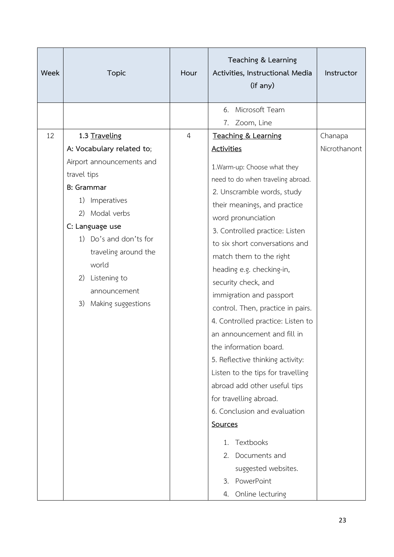| Week |                                          | <b>Topic</b>              | Hour                              | Teaching & Learning<br>Activities, Instructional Media<br>(if any) | Instructor   |
|------|------------------------------------------|---------------------------|-----------------------------------|--------------------------------------------------------------------|--------------|
|      |                                          |                           |                                   | Microsoft Team<br>6.                                               |              |
|      |                                          |                           |                                   | Zoom, Line<br>7.                                                   |              |
| 12   |                                          | 1.3 Traveling             | $\overline{4}$                    | Teaching & Learning                                                | Chanapa      |
|      |                                          | A: Vocabulary related to; |                                   | <b>Activities</b>                                                  | Nicrothanont |
|      |                                          | Airport announcements and |                                   | 1. Warm-up: Choose what they                                       |              |
|      | travel tips<br><b>B: Grammar</b>         |                           |                                   | need to do when traveling abroad.                                  |              |
|      |                                          |                           |                                   | 2. Unscramble words, study                                         |              |
|      | 1)                                       | Imperatives               |                                   | their meanings, and practice                                       |              |
|      | (2)                                      | Modal verbs               |                                   | word pronunciation                                                 |              |
|      | C: Language use                          |                           |                                   | 3. Controlled practice: Listen                                     |              |
|      |                                          | 1) Do's and don'ts for    |                                   | to six short conversations and                                     |              |
|      |                                          | traveling around the      |                                   | match them to the right                                            |              |
|      |                                          | world                     |                                   | heading e.g. checking-in,                                          |              |
|      | 2)<br>Listening to<br>announcement<br>3) |                           | security check, and               |                                                                    |              |
|      |                                          |                           |                                   | immigration and passport                                           |              |
|      |                                          | Making suggestions        |                                   | control. Then, practice in pairs.                                  |              |
|      |                                          |                           |                                   | 4. Controlled practice: Listen to                                  |              |
|      |                                          |                           | an announcement and fill in       |                                                                    |              |
|      |                                          |                           | the information board.            |                                                                    |              |
|      |                                          |                           | 5. Reflective thinking activity:  |                                                                    |              |
|      |                                          |                           | Listen to the tips for travelling |                                                                    |              |
|      |                                          |                           |                                   | abroad add other useful tips                                       |              |
|      |                                          |                           |                                   | for travelling abroad.                                             |              |
|      |                                          |                           |                                   | 6. Conclusion and evaluation                                       |              |
|      |                                          |                           |                                   | Sources                                                            |              |
|      |                                          |                           |                                   | Textbooks<br>1.                                                    |              |
|      |                                          |                           |                                   | Documents and<br>2.                                                |              |
|      |                                          |                           |                                   | suggested websites.                                                |              |
|      |                                          |                           |                                   | 3. PowerPoint                                                      |              |
|      |                                          |                           |                                   | 4. Online lecturing                                                |              |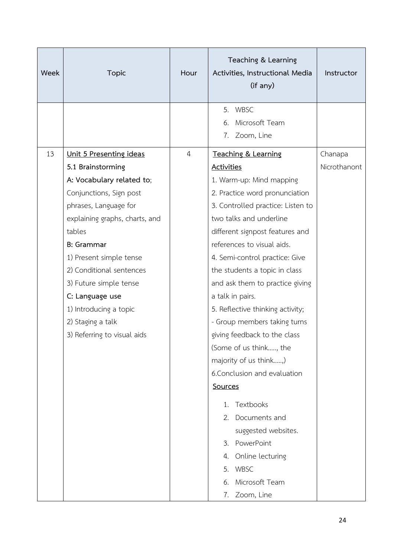| Week | <b>Topic</b>                                                                                                                                                                                                                                                                                                                                                                      | Hour           | Teaching & Learning<br>Activities, Instructional Media<br>(if any)                                                                                                                                                                                                                                                                                                                                                                                                                                                                                                                                                                                                                                                                           | Instructor              |
|------|-----------------------------------------------------------------------------------------------------------------------------------------------------------------------------------------------------------------------------------------------------------------------------------------------------------------------------------------------------------------------------------|----------------|----------------------------------------------------------------------------------------------------------------------------------------------------------------------------------------------------------------------------------------------------------------------------------------------------------------------------------------------------------------------------------------------------------------------------------------------------------------------------------------------------------------------------------------------------------------------------------------------------------------------------------------------------------------------------------------------------------------------------------------------|-------------------------|
|      |                                                                                                                                                                                                                                                                                                                                                                                   |                | 5. WBSC<br>Microsoft Team<br>6.<br>Zoom, Line<br>7.                                                                                                                                                                                                                                                                                                                                                                                                                                                                                                                                                                                                                                                                                          |                         |
| 13   | Unit 5 Presenting ideas<br>5.1 Brainstorming<br>A: Vocabulary related to;<br>Conjunctions, Sign post<br>phrases, Language for<br>explaining graphs, charts, and<br>tables<br><b>B</b> : Grammar<br>1) Present simple tense<br>2) Conditional sentences<br>3) Future simple tense<br>C: Language use<br>1) Introducing a topic<br>2) Staging a talk<br>3) Referring to visual aids | $\overline{4}$ | Teaching & Learning<br><b>Activities</b><br>1. Warm-up: Mind mapping<br>2. Practice word pronunciation<br>3. Controlled practice: Listen to<br>two talks and underline<br>different signpost features and<br>references to visual aids.<br>4. Semi-control practice: Give<br>the students a topic in class<br>and ask them to practice giving<br>a talk in pairs.<br>5. Reflective thinking activity;<br>- Group members taking turns<br>giving feedback to the class<br>(Some of us think, the<br>majority of us think,)<br>6. Conclusion and evaluation<br>Sources<br>Textbooks<br>$1_{-}$<br>Documents and<br>$2_{1}$<br>suggested websites.<br>PowerPoint<br>$3_{1}$<br>4. Online lecturing<br><b>WBSC</b><br>5.<br>Microsoft Team<br>6. | Chanapa<br>Nicrothanont |
|      |                                                                                                                                                                                                                                                                                                                                                                                   |                | 7. Zoom, Line                                                                                                                                                                                                                                                                                                                                                                                                                                                                                                                                                                                                                                                                                                                                |                         |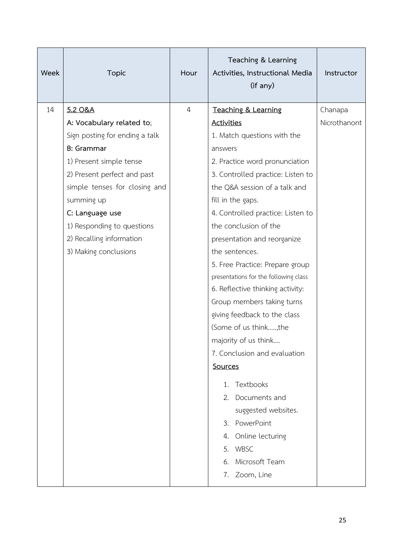| Week | <b>Topic</b>                                                                                                                                                                                                                                                                                                | Hour           | Teaching & Learning<br>Activities, Instructional Media<br>(if any)                                                                                                                                                                                                                                                                                                                             | Instructor              |
|------|-------------------------------------------------------------------------------------------------------------------------------------------------------------------------------------------------------------------------------------------------------------------------------------------------------------|----------------|------------------------------------------------------------------------------------------------------------------------------------------------------------------------------------------------------------------------------------------------------------------------------------------------------------------------------------------------------------------------------------------------|-------------------------|
| 14   | 5.2 O&A<br>A: Vocabulary related to;<br>Sign posting for ending a talk<br><b>B</b> : Grammar<br>1) Present simple tense<br>2) Present perfect and past<br>simple tenses for closing and<br>summing up<br>C: Language use<br>1) Responding to questions<br>2) Recalling information<br>3) Making conclusions | $\overline{4}$ | Teaching & Learning<br><b>Activities</b><br>1. Match questions with the<br>answers<br>2. Practice word pronunciation<br>3. Controlled practice: Listen to<br>the Q&A session of a talk and<br>fill in the gaps.<br>4. Controlled practice: Listen to<br>the conclusion of the<br>presentation and reorganize<br>the sentences.                                                                 | Chanapa<br>Nicrothanont |
|      |                                                                                                                                                                                                                                                                                                             |                | 5. Free Practice: Prepare group<br>presentations for the following class<br>6. Reflective thinking activity:<br>Group members taking turns<br>giving feedback to the class<br>(Some of us think,the<br>majority of us think<br>7. Conclusion and evaluation<br><b>Sources</b><br>Textbooks<br>1.<br>2. Documents and<br>suggested websites.<br>3. PowerPoint<br>4. Online lecturing<br>5. WBSC |                         |
|      |                                                                                                                                                                                                                                                                                                             |                | Microsoft Team<br>6.<br>7. Zoom, Line                                                                                                                                                                                                                                                                                                                                                          |                         |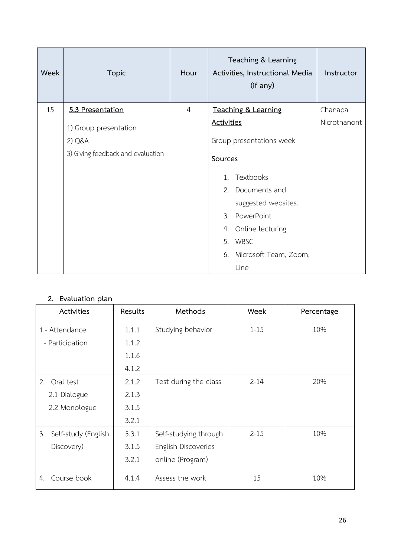| Week | <b>Topic</b>                      | Hour           | Teaching & Learning<br>Activities, Instructional Media<br>(if any) | Instructor   |
|------|-----------------------------------|----------------|--------------------------------------------------------------------|--------------|
| 15   | 5.3 Presentation                  | $\overline{4}$ | Teaching & Learning                                                | Chanapa      |
|      | 1) Group presentation             |                | <b>Activities</b>                                                  | Nicrothanont |
|      | 2) Q&A                            |                | Group presentations week                                           |              |
|      | 3) Giving feedback and evaluation |                | Sources                                                            |              |
|      |                                   |                | Textbooks<br>$1_{-}$                                               |              |
|      |                                   |                | 2. Documents and                                                   |              |
|      |                                   |                | suggested websites.                                                |              |
|      |                                   |                | 3. PowerPoint                                                      |              |
|      |                                   |                | 4. Online lecturing                                                |              |
|      |                                   |                | 5. WBSC                                                            |              |
|      |                                   |                | 6. Microsoft Team, Zoom,                                           |              |
|      |                                   |                | Line                                                               |              |

# **2. Evaluation plan**

| Activities                | Results | Methods               | Week     | Percentage |
|---------------------------|---------|-----------------------|----------|------------|
| 1.- Attendance            | 1.1.1   | Studying behavior     | $1 - 15$ | 10%        |
| - Participation           | 1.1.2   |                       |          |            |
|                           | 1.1.6   |                       |          |            |
|                           | 4.1.2   |                       |          |            |
| Oral test<br>2.           | 2.1.2   | Test during the class | $2 - 14$ | 20%        |
| 2.1 Dialogue              | 2.1.3   |                       |          |            |
| 2.2 Monologue             | 3.1.5   |                       |          |            |
|                           | 3.2.1   |                       |          |            |
| 3.<br>Self-study (English | 5.3.1   | Self-studying through | $2 - 15$ | 10%        |
| Discovery)                | 3.1.5   | English Discoveries   |          |            |
|                           | 3.2.1   | online (Program)      |          |            |
| Course book<br>4.         | 4.1.4   | Assess the work       | 15       | 10%        |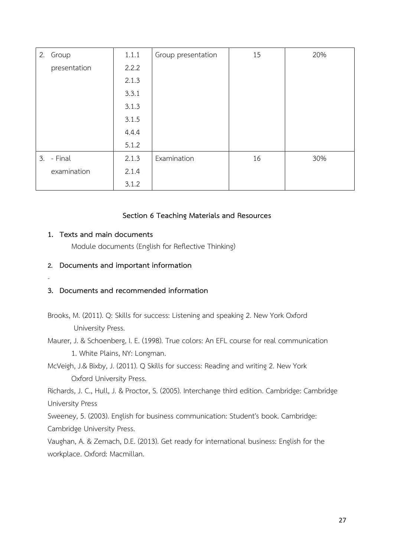| 2. Group     | 1.1.1 | Group presentation | 15 | 20% |
|--------------|-------|--------------------|----|-----|
| presentation | 2.2.2 |                    |    |     |
|              | 2.1.3 |                    |    |     |
|              | 3.3.1 |                    |    |     |
|              | 3.1.3 |                    |    |     |
|              | 3.1.5 |                    |    |     |
|              | 4.4.4 |                    |    |     |
|              | 5.1.2 |                    |    |     |
| 3. - Final   | 2.1.3 | Examination        | 16 | 30% |
| examination  | 2.1.4 |                    |    |     |
|              | 3.1.2 |                    |    |     |

### **Section 6 Teaching Materials and Resources**

#### **1. Texts and main documents**

Module documents (English for Reflective Thinking)

#### **2. Documents and important information**

-

#### **3. Documents and recommended information**

- Brooks, M. (2011). Q: Skills for success: Listening and speaking 2. New York Oxford University Press.
- Maurer, J. & Schoenberg, I. E. (1998). True colors: An EFL course for real communication 1. White Plains, NY: Longman.
- McVeigh, J.& Bixby, J. (2011). Q Skills for success: Reading and writing 2. New York Oxford University Press.

Richards, J. C., Hull, J. & Proctor, S. (2005). Interchange third edition. Cambridge: Cambridge University Press

Sweeney, 5. (2003). English for business communication: Student's book. Cambridge: Cambridge University Press.

Vaughan, A. & Zemach, D.E. (2013). Get ready for international business: English for the workplace. Oxford: Macmillan.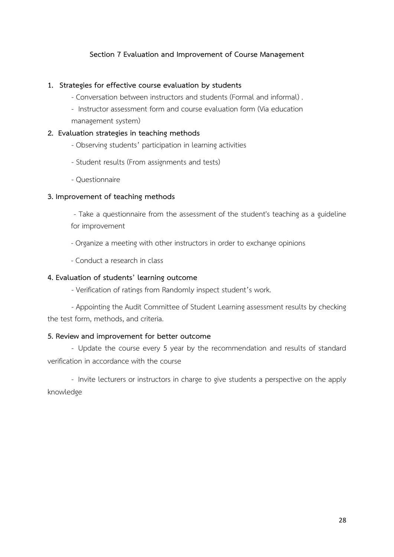## **Section 7 Evaluation and Improvement of Course Management**

#### **1. Strategies for effective course evaluation by students**

- Conversation between instructors and students (Formal and informal) .
- Instructor assessment form and course evaluation form (Via education management system)

#### **2. Evaluation strategies in teaching methods**

- Observing students' participation in learning activities
- Student results (From assignments and tests)
- Questionnaire

#### **3. Improvement of teaching methods**

- Take a questionnaire from the assessment of the student's teaching as a guideline for improvement

- Organize a meeting with other instructors in order to exchange opinions
- Conduct a research in class

#### **4. Evaluation of students' learning outcome**

- Verification of ratings from Randomly inspect student's work.

- Appointing the Audit Committee of Student Learning assessment results by checking the test form, methods, and criteria.

#### **5. Review and improvement for better outcome**

- Update the course every 5 year by the recommendation and results of standard verification in accordance with the course

- Invite lecturers or instructors in charge to give students a perspective on the apply knowledge